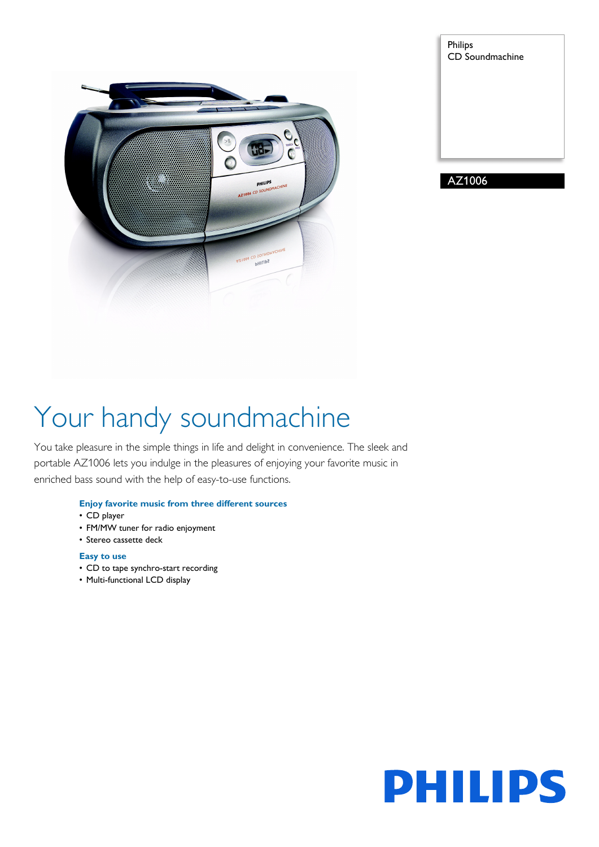

| Philips<br><b>CD</b> Soundmachine |
|-----------------------------------|
|                                   |
|                                   |
|                                   |
|                                   |

AZ1006

# Your handy soundmachine

You take pleasure in the simple things in life and delight in convenience. The sleek and portable AZ1006 lets you indulge in the pleasures of enjoying your favorite music in enriched bass sound with the help of easy-to-use functions.

## **Enjoy favorite music from three different sources**

- CD player
- FM/MW tuner for radio enjoyment
- Stereo cassette deck

## **Easy to use**

- CD to tape synchro-start recording
- Multi-functional LCD display